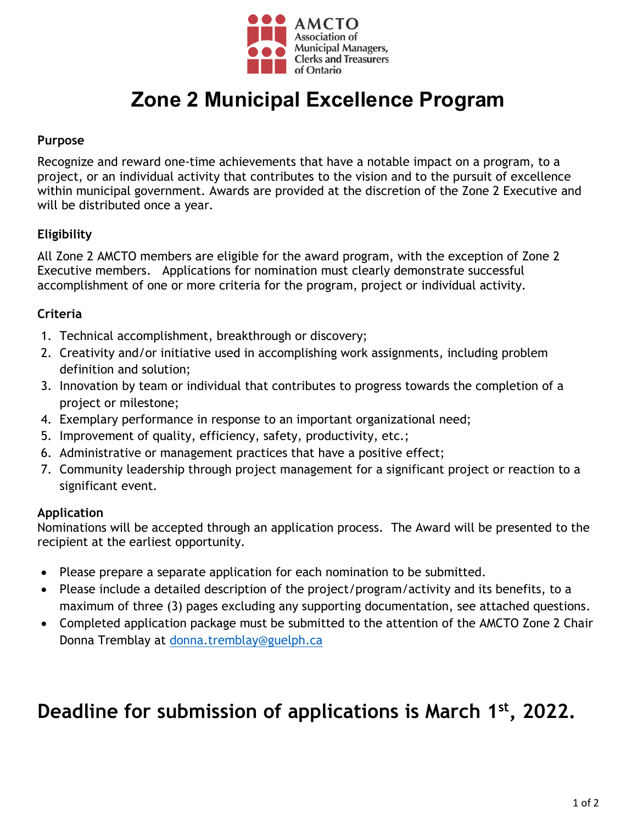

# **Zone 2 Municipal Excellence Program**

### **Purpose**

Recognize and reward one-time achievements that have a notable impact on a program, to a project, or an individual activity that contributes to the vision and to the pursuit of excellence within municipal government. Awards are provided at the discretion of the Zone 2 Executive and will be distributed once a year.

### **Eligibility**

All Zone 2 AMCTO members are eligible for the award program, with the exception of Zone 2 Executive members. Applications for nomination must clearly demonstrate successful accomplishment of one or more criteria for the program, project or individual activity.

### **Criteria**

- 1. Technical accomplishment, breakthrough or discovery;
- 2. Creativity and/or initiative used in accomplishing work assignments, including problem definition and solution;
- 3. Innovation by team or individual that contributes to progress towards the completion of a project or milestone;
- 4. Exemplary performance in response to an important organizational need;
- 5. Improvement of quality, efficiency, safety, productivity, etc.;
- 6. Administrative or management practices that have a positive effect;
- 7. Community leadership through project management for a significant project or reaction to a significant event.

#### **Application**

Nominations will be accepted through an application process. The Award will be presented to the recipient at the earliest opportunity.

- Please prepare a separate application for each nomination to be submitted.
- Please include a detailed description of the project/program/activity and its benefits, to a maximum of three (3) pages excluding any supporting documentation, see attached questions.
- Completed application package must be submitted to the attention of the AMCTO Zone 2 Chair Donna Tremblay at [donna.tremblay@guelph.ca](mailto:donna.tremblay@guelph.ca)

## **Deadline for submission of applications is March 1st , 2022.**